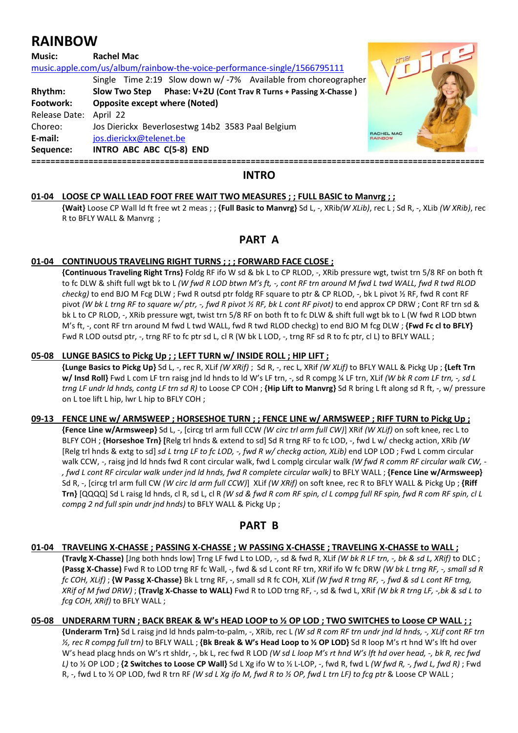# **RAINBOW**

| <b>Music:</b> | <b>Rachel Mac</b>                                                                                                                         |                              |
|---------------|-------------------------------------------------------------------------------------------------------------------------------------------|------------------------------|
|               | music.apple.com/us/album/rainbow-the-voice-performance-single/1566795111<br>Single Time 2:19 Slow down w/-7% Available from choreographer |                              |
| Rhythm:       | Phase: V+2U (Cont Trav R Turns + Passing X-Chasse)<br>Slow Two Step                                                                       |                              |
| Footwork:     | <b>Opposite except where (Noted)</b>                                                                                                      |                              |
| Release Date: | April 22                                                                                                                                  |                              |
| Choreo:       | Jos Dierickx Beverlosestwg 14b2 3583 Paal Belgium                                                                                         |                              |
| E-mail:       | jos.dierickx@telenet.be                                                                                                                   | RACHEL MAC<br><b>RAINBOW</b> |
| Sequence:     | INTRO ABC ABC C(5-8) END                                                                                                                  |                              |
|               |                                                                                                                                           |                              |

## **INTRO**

#### **01-04 LOOSE CP WALL LEAD FOOT FREE WAIT TWO MEASURES ; ; FULL BASIC to Manvrg ; ;**

 **{Wait}** Loose CP Wall ld ft free wt 2 meas ; ; **{Full Basic to Manvrg}** Sd L, -, XRib*(W XLib)*, rec L ; Sd R, -, XLib *(W XRib)*, rec R to BFLY WALL & Manvrg ;

## **PART A**

#### **01-04 CONTINUOUS TRAVELING RIGHT TURNS ; ; ; FORWARD FACE CLOSE ;**

 **{Continuous Traveling Right Trns}** Foldg RF ifo W sd & bk L to CP RLOD, -, XRib pressure wgt, twist trn 5/8 RF on both ft to fc DLW & shift full wgt bk to L *(W fwd R LOD btwn M's ft, -, cont RF trn around M fwd L twd WALL, fwd R twd RLOD checkg)* to end BJO M Fcg DLW ; Fwd R outsd ptr foldg RF square to ptr & CP RLOD, -, bk L pivot ½ RF, fwd R cont RF pivot *(W bk L trng RF to square w/ ptr, -, fwd R pivot ½ RF, bk L cont RF pivot)* to end approx CP DRW; Cont RF trn sd & bk L to CP RLOD, -, XRib pressure wgt, twist trn 5/8 RF on both ft to fc DLW & shift full wgt bk to L (W fwd R LOD btwn M's ft, -, cont RF trn around M fwd L twd WALL, fwd R twd RLOD checkg) to end BJO M fcg DLW ; **{Fwd Fc cl to BFLY}** Fwd R LOD outsd ptr, -, trng RF to fc ptr sd L, cl R (W bk L LOD, -, trng RF sd R to fc ptr, cl L) to BFLY WALL;

#### **05-08 LUNGE BASICS to Pickg Up ; ; LEFT TURN w/ INSIDE ROLL ; HIP LIFT ;**

 **{Lunge Basics to Pickg Up}** Sd L, -, rec R, XLif *(W XRif)* ; Sd R, -, rec L, XRif *(W XLif)* to BFLY WALL & Pickg Up ; **{Left Trn w/ Insd Roll}** Fwd L com LF trn raisg jnd ld hnds to ld W's LF trn, -, sd R compg ¼ LF trn, XLif *(W bk R com LF trn, -, sd L trng LF undr ld hnds, contg LF trn sd R)* to Loose CP COH ; **{Hip Lift to Manvrg}** Sd R bring L ft along sd R ft, -, w/ pressure on L toe lift L hip, lwr L hip to BFLY COH ;

#### **09-13 FENCE LINE w/ ARMSWEEP ; HORSESHOE TURN ; ; FENCE LINE w/ ARMSWEEP ; RIFF TURN to Pickg Up ;**

 **{Fence Line w/Armsweep}** Sd L, -, [circg trl arm full CCW *(W circ trl arm full CW)*] XRif *(W XLif)* on soft knee, rec L to BLFY COH ; **{Horseshoe Trn} [**Relg trl hnds & extend to sd] Sd R trng RF to fc LOD, -, fwd L w/ checkg action, XRib *(W*  [Relg trl hnds & extg to sd] *sd L trng LF to fc LOD, -, fwd R w/ checkg action, XLib)* end LOP LOD ; Fwd L comm circular walk CCW, -, raisg jnd ld hnds fwd R cont circular walk, fwd L complg circular walk *(W fwd R comm RF circular walk CW, - , fwd L cont RF circular walk under jnd ld hnds, fwd R complete circular walk)* to BFLY WALL ; **{Fence Line w/Armsweep}** Sd R, -, [circg trl arm full CW *(W circ ld arm full CCW)*] XLif *(W XRif)* on soft knee, rec R to BFLY WALL & Pickg Up ; **{Riff Trn}** [QQQQ] Sd L raisg ld hnds, cl R, sd L, cl R *(W sd & fwd R com RF spin, cl L compg full RF spin, fwd R com RF spin, cl L compg 2 nd full spin undr jnd hnds)* to BFLY WALL & Pickg Up ;

## **PART B**

#### **01-04 TRAVELING X-CHASSE ; PASSING X-CHASSE ; W PASSING X-CHASSE ; TRAVELING X-CHASSE to WALL ;**

 **(Travlg X-Chasse)** [Jng both hnds low] Trng LF fwd L to LOD, -, sd & fwd R, XLif *(W bk R LF trn, -, bk & sd L, XRif)* to DLC ; **(Passg X-Chasse)** Fwd R to LOD trng RF fc Wall, -, fwd & sd L cont RF trn, XRif ifo W fc DRW *(W bk L trng RF, -, small sd R fc COH, XLif)* ; **{W Passg X-Chasse}** Bk L trng RF, -, small sd R fc COH, XLif *(W fwd R trng RF, -, fwd & sd L cont RF trng, XRif of M fwd DRW)* ; **(Travlg X-Chasse to WALL)** Fwd R to LOD trng RF, -, sd & fwd L, XRif *(W bk R trng LF, -,bk & sd L to fcg COH, XRif)* to BFLY WALL ;

#### **05-08 UNDERARM TURN ; BACK BREAK & W's HEAD LOOP to ½ OP LOD ; TWO SWITCHES to Loose CP WALL ; ;**

 **{Underarm Trn}** Sd L raisg jnd ld hnds palm-to-palm, -, XRib, rec L *(W sd R com RF trn undr jnd ld hnds, -, XLif cont RF trn ½, rec R compg full trn)* to BFLY WALL ; **{Bk Break & W's Head Loop to ½ OP LOD}** Sd R loop M's rt hnd W's lft hd over W's head placg hnds on W's rt shldr, -, bk L, rec fwd R LOD *(W sd L loop M's rt hnd W's lft hd over head, -, bk R, rec fwd L)* to ½ OP LOD ; **{2 Switches to Loose CP Wall}** Sd L Xg ifo W to ½ L-LOP, -, fwd R, fwd L *(W fwd R, -, fwd L, fwd R)* ; Fwd R, -, fwd L to ½ OP LOD, fwd R trn RF *(W sd L Xg ifo M, fwd R to ½ OP, fwd L trn LF) to fcg ptr* & Loose CP WALL ;